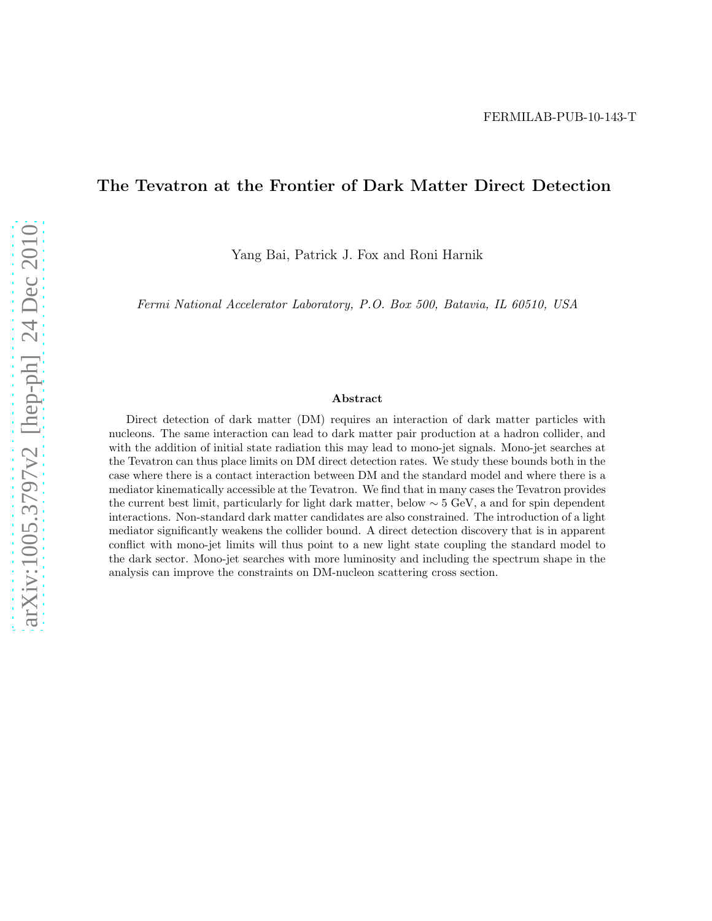### The Tevatron at the Frontier of Dark Matter Direct Detection

Yang Bai, Patrick J. Fox and Roni Harnik

*Fermi National Accelerator Laboratory, P.O. Box 500, Batavia, IL 60510, USA*

#### Abstract

Direct detection of dark matter (DM) requires an interaction of dark matter particles with nucleons. The same interaction can lead to dark matter pair production at a hadron collider, and with the addition of initial state radiation this may lead to mono-jet signals. Mono-jet searches at the Tevatron can thus place limits on DM direct detection rates. We study these bounds both in the case where there is a contact interaction between DM and the standard model and where there is a mediator kinematically accessible at the Tevatron. We find that in many cases the Tevatron provides the current best limit, particularly for light dark matter, below ∼ 5 GeV, a and for spin dependent interactions. Non-standard dark matter candidates are also constrained. The introduction of a light mediator significantly weakens the collider bound. A direct detection discovery that is in apparent conflict with mono-jet limits will thus point to a new light state coupling the standard model to the dark sector. Mono-jet searches with more luminosity and including the spectrum shape in the analysis can improve the constraints on DM-nucleon scattering cross section.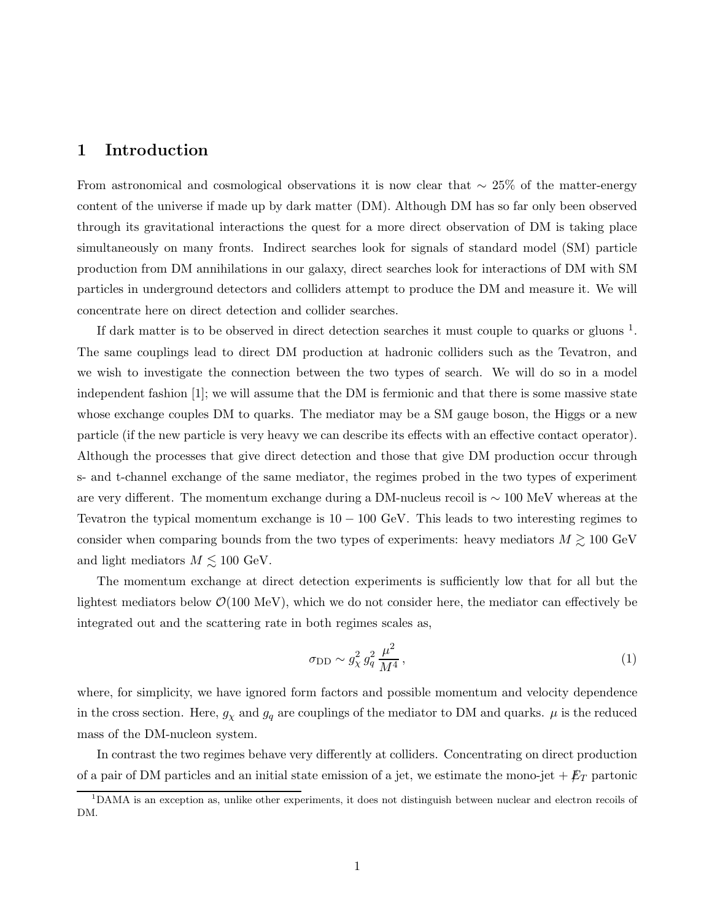## 1 Introduction

From astronomical and cosmological observations it is now clear that  $\sim 25\%$  of the matter-energy content of the universe if made up by dark matter (DM). Although DM has so far only been observed through its gravitational interactions the quest for a more direct observation of DM is taking place simultaneously on many fronts. Indirect searches look for signals of standard model (SM) particle production from DM annihilations in our galaxy, direct searches look for interactions of DM with SM particles in underground detectors and colliders attempt to produce the DM and measure it. We will concentrate here on direct detection and collider searches.

If dark matter is to be observed in direct detection searches it must couple to quarks or gluons  $^1$ . The same couplings lead to direct DM production at hadronic colliders such as the Tevatron, and we wish to investigate the connection between the two types of search. We will do so in a model independent fashion [1]; we will assume that the DM is fermionic and that there is some massive state whose exchange couples DM to quarks. The mediator may be a SM gauge boson, the Higgs or a new particle (if the new particle is very heavy we can describe its effects with an effective contact operator). Although the processes that give direct detection and those that give DM production occur through s- and t-channel exchange of the same mediator, the regimes probed in the two types of experiment are very different. The momentum exchange during a DM-nucleus recoil is ∼ 100 MeV whereas at the Tevatron the typical momentum exchange is  $10 - 100 \text{ GeV}$ . This leads to two interesting regimes to consider when comparing bounds from the two types of experiments: heavy mediators  $M \gtrsim 100 \text{ GeV}$ and light mediators  $M \lesssim 100 \text{ GeV}.$ 

The momentum exchange at direct detection experiments is sufficiently low that for all but the lightest mediators below  $\mathcal{O}(100 \text{ MeV})$ , which we do not consider here, the mediator can effectively be integrated out and the scattering rate in both regimes scales as,

$$
\sigma_{\rm DD} \sim g_\chi^2 g_q^2 \frac{\mu^2}{M^4},\tag{1}
$$

where, for simplicity, we have ignored form factors and possible momentum and velocity dependence in the cross section. Here,  $g_{\chi}$  and  $g_q$  are couplings of the mediator to DM and quarks.  $\mu$  is the reduced mass of the DM-nucleon system.

In contrast the two regimes behave very differently at colliders. Concentrating on direct production of a pair of DM particles and an initial state emission of a jet, we estimate the mono-jet  $+E_T$  partonic

<sup>1</sup>DAMA is an exception as, unlike other experiments, it does not distinguish between nuclear and electron recoils of DM.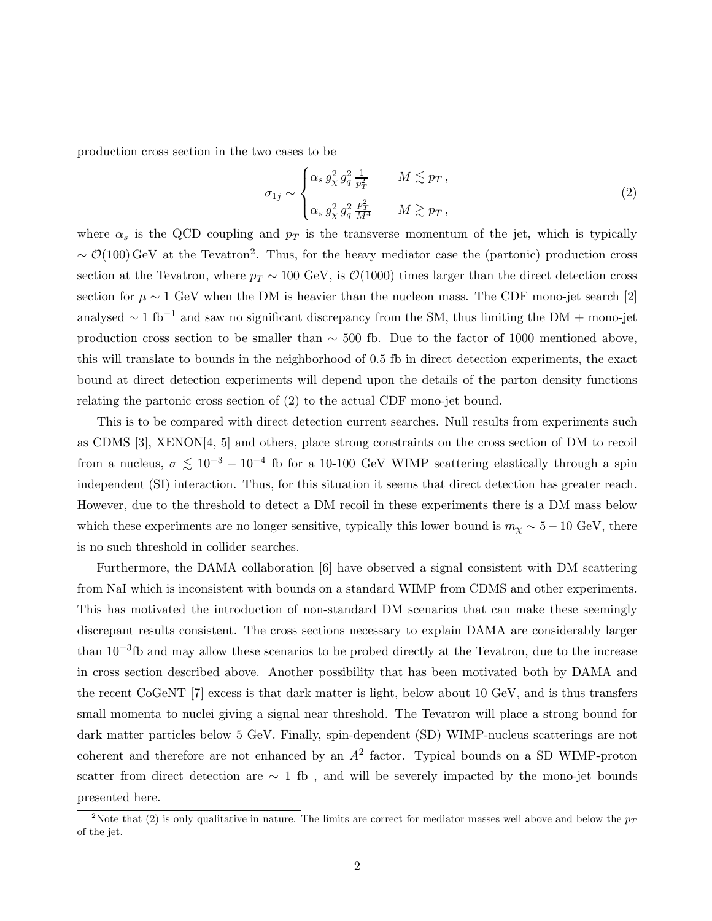production cross section in the two cases to be

$$
\sigma_{1j} \sim \begin{cases} \alpha_s g_X^2 g_q^2 \frac{1}{p_T^2} & M \lesssim p_T, \\ \alpha_s g_X^2 g_q^2 \frac{p_T^2}{M^4} & M \gtrsim p_T, \end{cases}
$$
\n
$$
(2)
$$

where  $\alpha_s$  is the QCD coupling and  $p_T$  is the transverse momentum of the jet, which is typically  $\sim \mathcal{O}(100)$  GeV at the Tevatron<sup>2</sup>. Thus, for the heavy mediator case the (partonic) production cross section at the Tevatron, where  $p_T \sim 100 \text{ GeV}$ , is  $\mathcal{O}(1000)$  times larger than the direct detection cross section for  $\mu \sim 1$  GeV when the DM is heavier than the nucleon mass. The CDF mono-jet search [2] analysed  $\sim 1 \text{ fb}^{-1}$  and saw no significant discrepancy from the SM, thus limiting the DM + mono-jet production cross section to be smaller than ∼ 500 fb. Due to the factor of 1000 mentioned above, this will translate to bounds in the neighborhood of 0.5 fb in direct detection experiments, the exact bound at direct detection experiments will depend upon the details of the parton density functions relating the partonic cross section of (2) to the actual CDF mono-jet bound.

This is to be compared with direct detection current searches. Null results from experiments such as CDMS [3], XENON[4, 5] and others, place strong constraints on the cross section of DM to recoil from a nucleus,  $\sigma \lesssim 10^{-3} - 10^{-4}$  fb for a 10-100 GeV WIMP scattering elastically through a spin independent (SI) interaction. Thus, for this situation it seems that direct detection has greater reach. However, due to the threshold to detect a DM recoil in these experiments there is a DM mass below which these experiments are no longer sensitive, typically this lower bound is  $m<sub>X</sub> \sim 5 - 10$  GeV, there is no such threshold in collider searches.

Furthermore, the DAMA collaboration [6] have observed a signal consistent with DM scattering from NaI which is inconsistent with bounds on a standard WIMP from CDMS and other experiments. This has motivated the introduction of non-standard DM scenarios that can make these seemingly discrepant results consistent. The cross sections necessary to explain DAMA are considerably larger than 10−<sup>3</sup> fb and may allow these scenarios to be probed directly at the Tevatron, due to the increase in cross section described above. Another possibility that has been motivated both by DAMA and the recent CoGeNT [7] excess is that dark matter is light, below about 10 GeV, and is thus transfers small momenta to nuclei giving a signal near threshold. The Tevatron will place a strong bound for dark matter particles below 5 GeV. Finally, spin-dependent (SD) WIMP-nucleus scatterings are not coherent and therefore are not enhanced by an  $A<sup>2</sup>$  factor. Typical bounds on a SD WIMP-proton scatter from direct detection are ∼ 1 fb , and will be severely impacted by the mono-jet bounds presented here.

<sup>&</sup>lt;sup>2</sup>Note that (2) is only qualitative in nature. The limits are correct for mediator masses well above and below the  $p_T$ of the jet.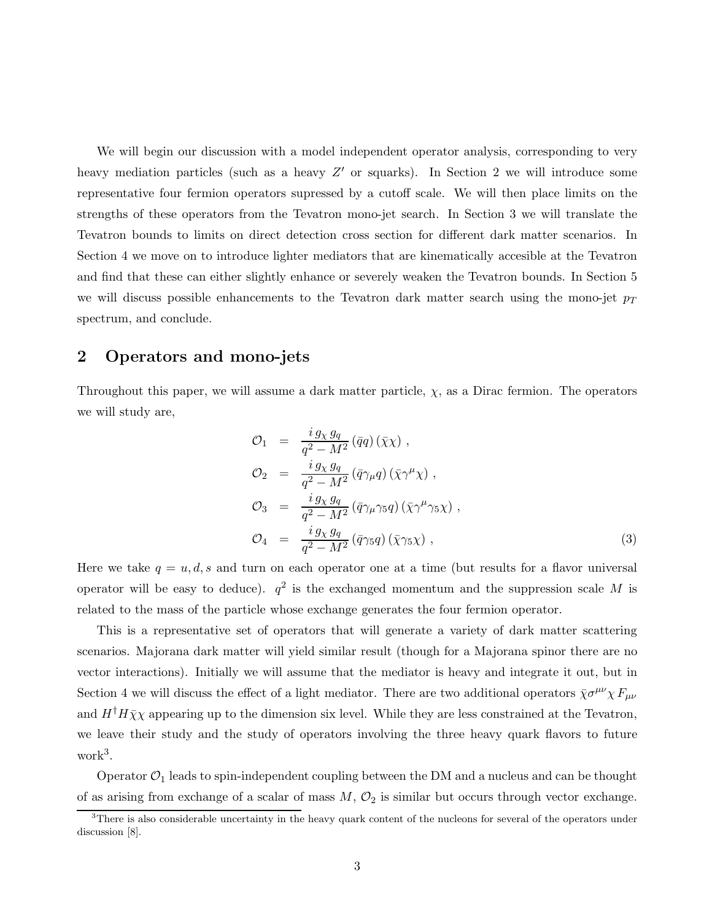We will begin our discussion with a model independent operator analysis, corresponding to very heavy mediation particles (such as a heavy  $Z'$  or squarks). In Section 2 we will introduce some representative four fermion operators supressed by a cutoff scale. We will then place limits on the strengths of these operators from the Tevatron mono-jet search. In Section 3 we will translate the Tevatron bounds to limits on direct detection cross section for different dark matter scenarios. In Section 4 we move on to introduce lighter mediators that are kinematically accesible at the Tevatron and find that these can either slightly enhance or severely weaken the Tevatron bounds. In Section 5 we will discuss possible enhancements to the Tevatron dark matter search using the mono-jet  $p_T$ spectrum, and conclude.

# 2 Operators and mono-jets

Throughout this paper, we will assume a dark matter particle,  $\chi$ , as a Dirac fermion. The operators we will study are,

$$
\mathcal{O}_1 = \frac{i g_X g_q}{q^2 - M^2} (\bar{q}q) (\bar{\chi} \chi) ,
$$
  
\n
$$
\mathcal{O}_2 = \frac{i g_X g_q}{q^2 - M^2} (\bar{q} \gamma_\mu q) (\bar{\chi} \gamma^\mu \chi) ,
$$
  
\n
$$
\mathcal{O}_3 = \frac{i g_X g_q}{q^2 - M^2} (\bar{q} \gamma_\mu \gamma_5 q) (\bar{\chi} \gamma^\mu \gamma_5 \chi) ,
$$
  
\n
$$
\mathcal{O}_4 = \frac{i g_X g_q}{q^2 - M^2} (\bar{q} \gamma_5 q) (\bar{\chi} \gamma_5 \chi) ,
$$
\n(3)

Here we take  $q = u, d, s$  and turn on each operator one at a time (but results for a flavor universal operator will be easy to deduce).  $q^2$  is the exchanged momentum and the suppression scale M is related to the mass of the particle whose exchange generates the four fermion operator.

This is a representative set of operators that will generate a variety of dark matter scattering scenarios. Majorana dark matter will yield similar result (though for a Majorana spinor there are no vector interactions). Initially we will assume that the mediator is heavy and integrate it out, but in Section 4 we will discuss the effect of a light mediator. There are two additional operators  $\bar{\chi} \sigma^{\mu\nu} \chi F_{\mu\nu}$ and  $H^{\dagger}H\bar{\chi}\chi$  appearing up to the dimension six level. While they are less constrained at the Tevatron, we leave their study and the study of operators involving the three heavy quark flavors to future work<sup>3</sup> .

Operator  $\mathcal{O}_1$  leads to spin-independent coupling between the DM and a nucleus and can be thought of as arising from exchange of a scalar of mass  $M$ ,  $\mathcal{O}_2$  is similar but occurs through vector exchange.

<sup>&</sup>lt;sup>3</sup>There is also considerable uncertainty in the heavy quark content of the nucleons for several of the operators under discussion [8].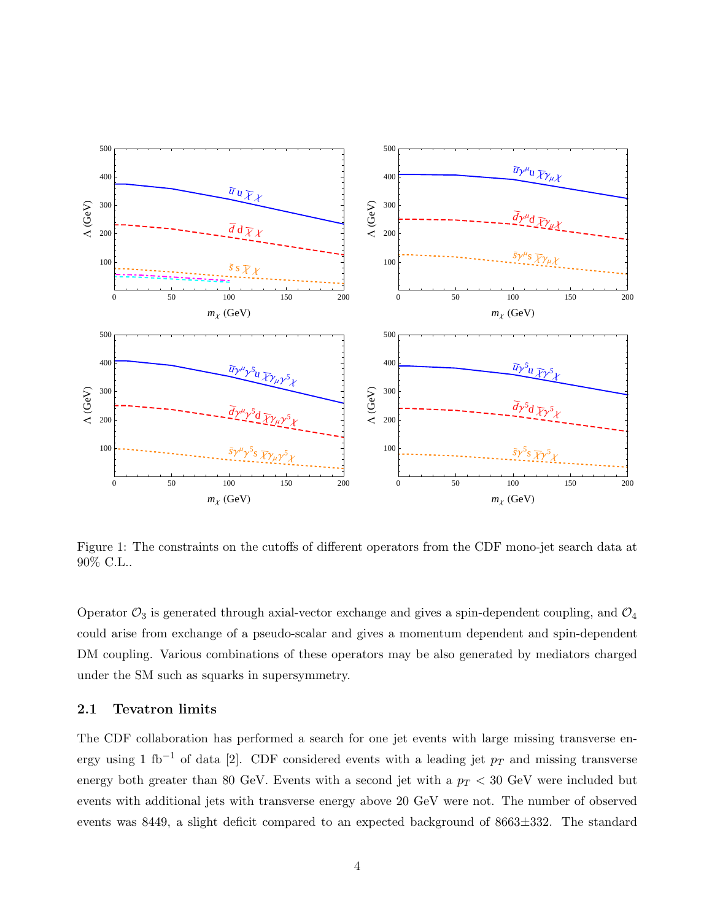

Figure 1: The constraints on the cutoffs of different operators from the CDF mono-jet search data at 90% C.L..

Operator  $\mathcal{O}_3$  is generated through axial-vector exchange and gives a spin-dependent coupling, and  $\mathcal{O}_4$ could arise from exchange of a pseudo-scalar and gives a momentum dependent and spin-dependent DM coupling. Various combinations of these operators may be also generated by mediators charged under the SM such as squarks in supersymmetry.

### 2.1 Tevatron limits

The CDF collaboration has performed a search for one jet events with large missing transverse energy using 1 fb<sup>-1</sup> of data [2]. CDF considered events with a leading jet  $p_T$  and missing transverse energy both greater than 80 GeV. Events with a second jet with a  $p_T < 30$  GeV were included but events with additional jets with transverse energy above 20 GeV were not. The number of observed events was 8449, a slight deficit compared to an expected background of 8663±332. The standard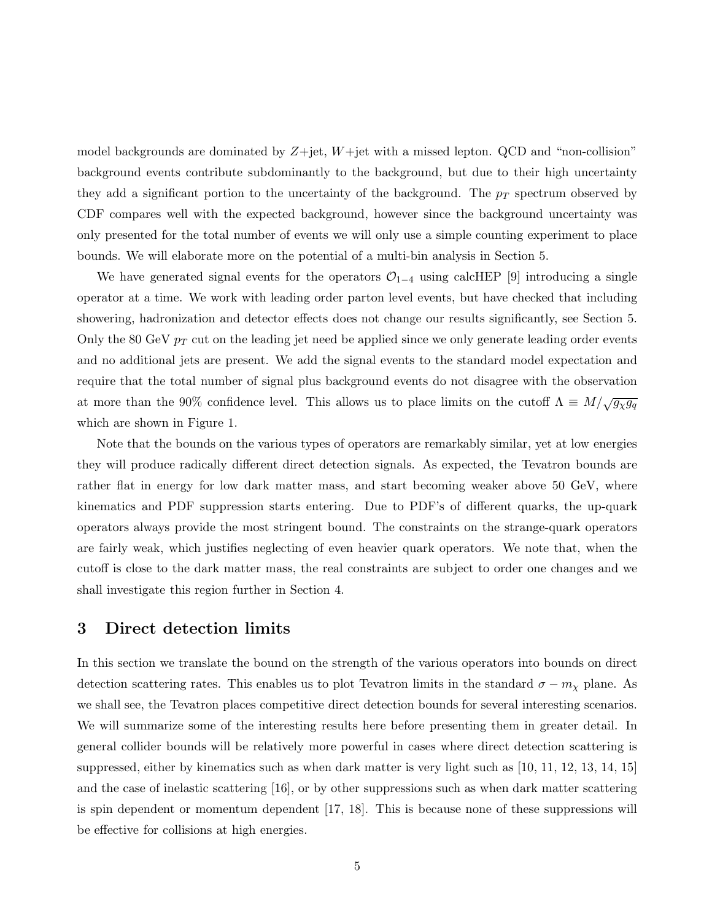model backgrounds are dominated by  $Z+jet$ ,  $W+jet$  with a missed lepton. QCD and "non-collision" background events contribute subdominantly to the background, but due to their high uncertainty they add a significant portion to the uncertainty of the background. The  $p_T$  spectrum observed by CDF compares well with the expected background, however since the background uncertainty was only presented for the total number of events we will only use a simple counting experiment to place bounds. We will elaborate more on the potential of a multi-bin analysis in Section 5.

We have generated signal events for the operators  $\mathcal{O}_{1-4}$  using calcHEP [9] introducing a single operator at a time. We work with leading order parton level events, but have checked that including showering, hadronization and detector effects does not change our results significantly, see Section 5. Only the 80 GeV  $p_T$  cut on the leading jet need be applied since we only generate leading order events and no additional jets are present. We add the signal events to the standard model expectation and require that the total number of signal plus background events do not disagree with the observation at more than the 90% confidence level. This allows us to place limits on the cutoff  $\Lambda \equiv M/\sqrt{g_{\chi}g_q}$ which are shown in Figure 1.

Note that the bounds on the various types of operators are remarkably similar, yet at low energies they will produce radically different direct detection signals. As expected, the Tevatron bounds are rather flat in energy for low dark matter mass, and start becoming weaker above 50 GeV, where kinematics and PDF suppression starts entering. Due to PDF's of different quarks, the up-quark operators always provide the most stringent bound. The constraints on the strange-quark operators are fairly weak, which justifies neglecting of even heavier quark operators. We note that, when the cutoff is close to the dark matter mass, the real constraints are subject to order one changes and we shall investigate this region further in Section 4.

# 3 Direct detection limits

In this section we translate the bound on the strength of the various operators into bounds on direct detection scattering rates. This enables us to plot Tevatron limits in the standard  $\sigma - m_{\chi}$  plane. As we shall see, the Tevatron places competitive direct detection bounds for several interesting scenarios. We will summarize some of the interesting results here before presenting them in greater detail. In general collider bounds will be relatively more powerful in cases where direct detection scattering is suppressed, either by kinematics such as when dark matter is very light such as [10, 11, 12, 13, 14, 15] and the case of inelastic scattering [16], or by other suppressions such as when dark matter scattering is spin dependent or momentum dependent [17, 18]. This is because none of these suppressions will be effective for collisions at high energies.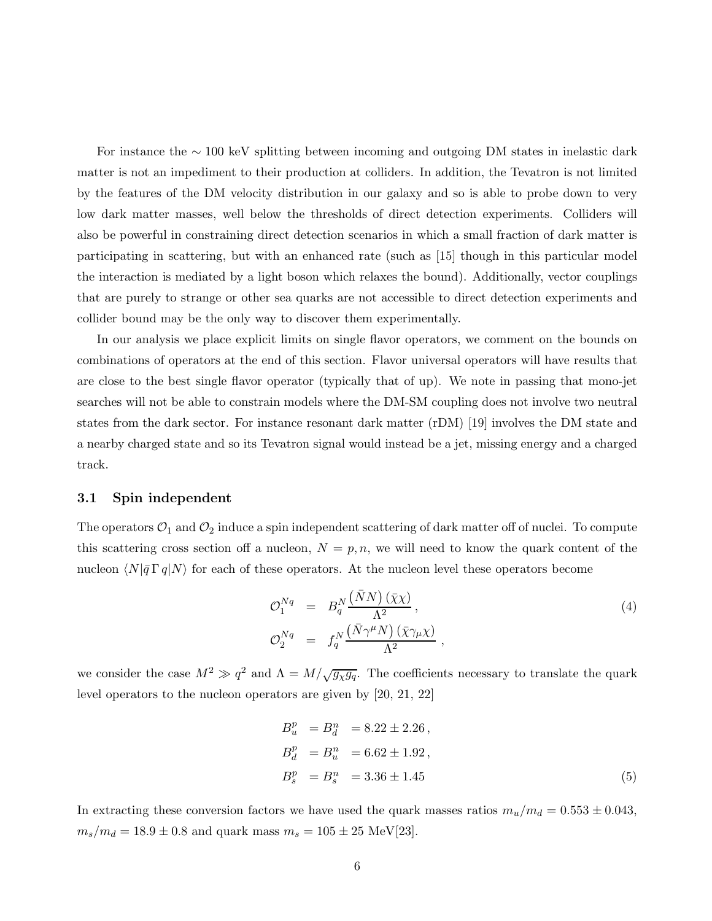For instance the  $\sim$  100 keV splitting between incoming and outgoing DM states in inelastic dark matter is not an impediment to their production at colliders. In addition, the Tevatron is not limited by the features of the DM velocity distribution in our galaxy and so is able to probe down to very low dark matter masses, well below the thresholds of direct detection experiments. Colliders will also be powerful in constraining direct detection scenarios in which a small fraction of dark matter is participating in scattering, but with an enhanced rate (such as [15] though in this particular model the interaction is mediated by a light boson which relaxes the bound). Additionally, vector couplings that are purely to strange or other sea quarks are not accessible to direct detection experiments and collider bound may be the only way to discover them experimentally.

In our analysis we place explicit limits on single flavor operators, we comment on the bounds on combinations of operators at the end of this section. Flavor universal operators will have results that are close to the best single flavor operator (typically that of up). We note in passing that mono-jet searches will not be able to constrain models where the DM-SM coupling does not involve two neutral states from the dark sector. For instance resonant dark matter (rDM) [19] involves the DM state and a nearby charged state and so its Tevatron signal would instead be a jet, missing energy and a charged track.

#### 3.1 Spin independent

The operators  $\mathcal{O}_1$  and  $\mathcal{O}_2$  induce a spin independent scattering of dark matter off of nuclei. To compute this scattering cross section off a nucleon,  $N = p, n$ , we will need to know the quark content of the nucleon  $\langle N|\bar{q}\Gamma q|N\rangle$  for each of these operators. At the nucleon level these operators become

$$
\mathcal{O}_1^{Nq} = B_q^N \frac{(\bar{N}N)(\bar{\chi}\chi)}{\Lambda^2},
$$
  
\n
$$
\mathcal{O}_2^{Nq} = f_q^N \frac{(\bar{N}\gamma^\mu N)(\bar{\chi}\gamma_\mu\chi)}{\Lambda^2},
$$
\n(4)

we consider the case  $M^2 \gg q^2$  and  $\Lambda = M/\sqrt{g_{\chi}g_q}$ . The coefficients necessary to translate the quark level operators to the nucleon operators are given by [20, 21, 22]

$$
B_u^p = B_d^n = 8.22 \pm 2.26,
$$
  
\n
$$
B_d^p = B_u^n = 6.62 \pm 1.92,
$$
  
\n
$$
B_s^p = B_s^n = 3.36 \pm 1.45
$$
\n(5)

In extracting these conversion factors we have used the quark masses ratios  $m_u/m_d = 0.553 \pm 0.043$ ,  $m_s/m_d = 18.9 \pm 0.8$  and quark mass  $m_s = 105 \pm 25$  MeV[23].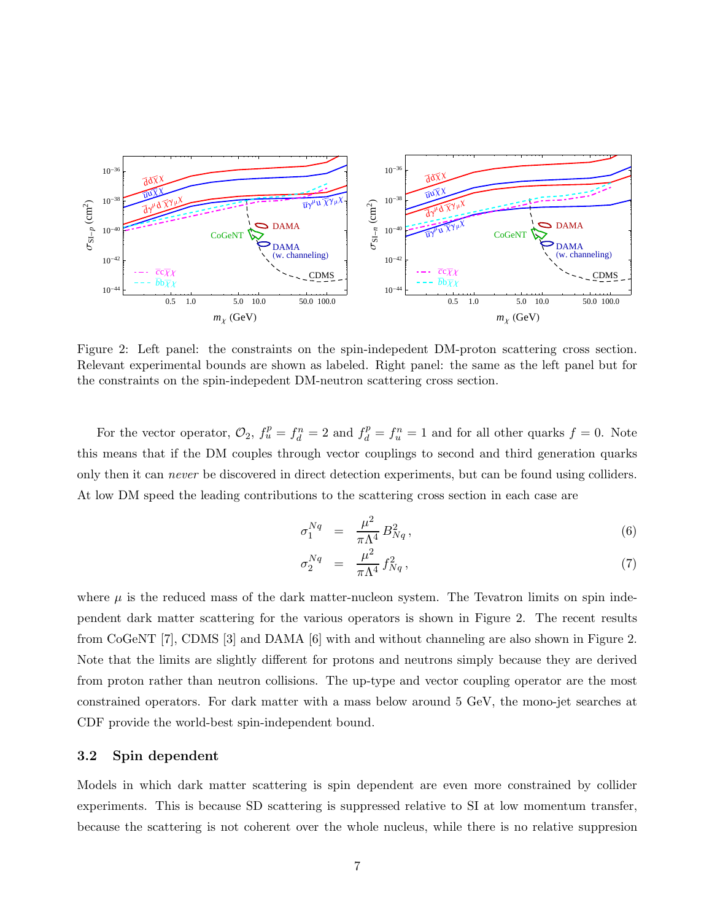

Figure 2: Left panel: the constraints on the spin-indepedent DM-proton scattering cross section. Relevant experimental bounds are shown as labeled. Right panel: the same as the left panel but for the constraints on the spin-indepedent DM-neutron scattering cross section.

For the vector operator,  $\mathcal{O}_2$ ,  $f_u^p = f_d^n = 2$  and  $f_d^p = f_u^n = 1$  and for all other quarks  $f = 0$ . Note this means that if the DM couples through vector couplings to second and third generation quarks only then it can *never* be discovered in direct detection experiments, but can be found using colliders. At low DM speed the leading contributions to the scattering cross section in each case are

$$
\sigma_1^{Nq} = \frac{\mu^2}{\pi \Lambda^4} B_{Nq}^2, \tag{6}
$$

$$
\sigma_2^{Nq} = \frac{\mu^2}{\pi \Lambda^4} f_{Nq}^2, \tag{7}
$$

where  $\mu$  is the reduced mass of the dark matter-nucleon system. The Tevatron limits on spin independent dark matter scattering for the various operators is shown in Figure 2. The recent results from CoGeNT [7], CDMS [3] and DAMA [6] with and without channeling are also shown in Figure 2. Note that the limits are slightly different for protons and neutrons simply because they are derived from proton rather than neutron collisions. The up-type and vector coupling operator are the most constrained operators. For dark matter with a mass below around 5 GeV, the mono-jet searches at CDF provide the world-best spin-independent bound.

#### 3.2 Spin dependent

Models in which dark matter scattering is spin dependent are even more constrained by collider experiments. This is because SD scattering is suppressed relative to SI at low momentum transfer, because the scattering is not coherent over the whole nucleus, while there is no relative suppresion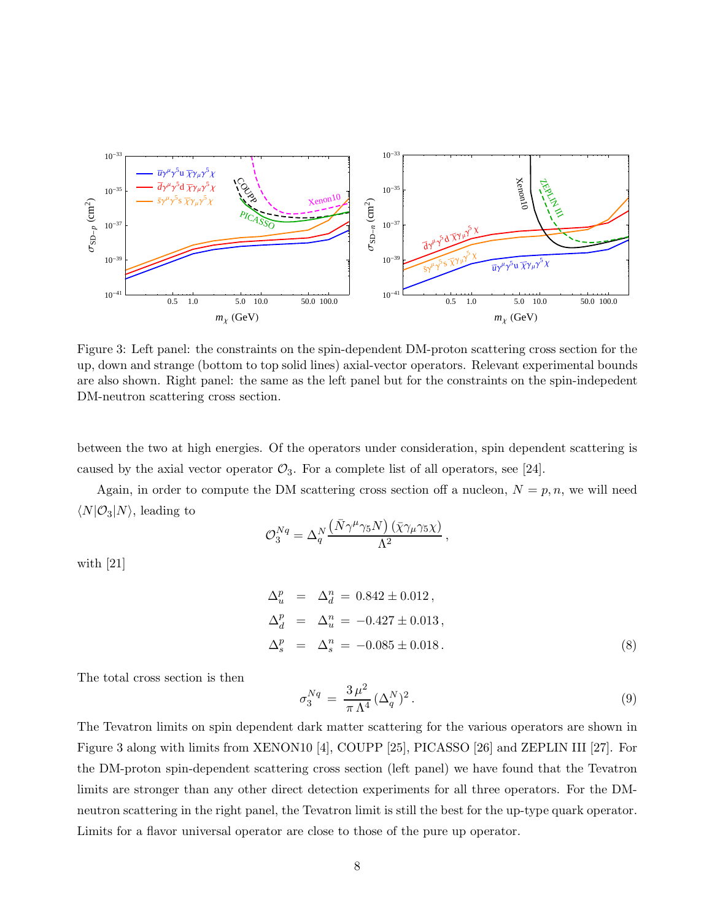

Figure 3: Left panel: the constraints on the spin-dependent DM-proton scattering cross section for the up, down and strange (bottom to top solid lines) axial-vector operators. Relevant experimental bounds are also shown. Right panel: the same as the left panel but for the constraints on the spin-indepedent DM-neutron scattering cross section.

between the two at high energies. Of the operators under consideration, spin dependent scattering is caused by the axial vector operator  $\mathcal{O}_3$ . For a complete list of all operators, see [24].

Again, in order to compute the DM scattering cross section off a nucleon,  $N = p, n$ , we will need  $\langle N|\mathcal{O}_3|N\rangle$ , leading to

$$
\mathcal{O}_3^{Nq} = \Delta_q^N \frac{\left(\bar{N} \gamma^\mu \gamma_5 N\right) \left(\bar{\chi} \gamma_\mu \gamma_5 \chi\right)}{\Lambda^2}
$$

with [21]

$$
\Delta_u^p = \Delta_d^n = 0.842 \pm 0.012 ,
$$
  
\n
$$
\Delta_d^p = \Delta_u^n = -0.427 \pm 0.013 ,
$$
  
\n
$$
\Delta_s^p = \Delta_s^n = -0.085 \pm 0.018 .
$$
\n(8)

,

The total cross section is then

$$
\sigma_3^{Nq} = \frac{3\,\mu^2}{\pi\,\Lambda^4} \, (\Delta_q^N)^2 \,. \tag{9}
$$

The Tevatron limits on spin dependent dark matter scattering for the various operators are shown in Figure 3 along with limits from XENON10 [4], COUPP [25], PICASSO [26] and ZEPLIN III [27]. For the DM-proton spin-dependent scattering cross section (left panel) we have found that the Tevatron limits are stronger than any other direct detection experiments for all three operators. For the DMneutron scattering in the right panel, the Tevatron limit is still the best for the up-type quark operator. Limits for a flavor universal operator are close to those of the pure up operator.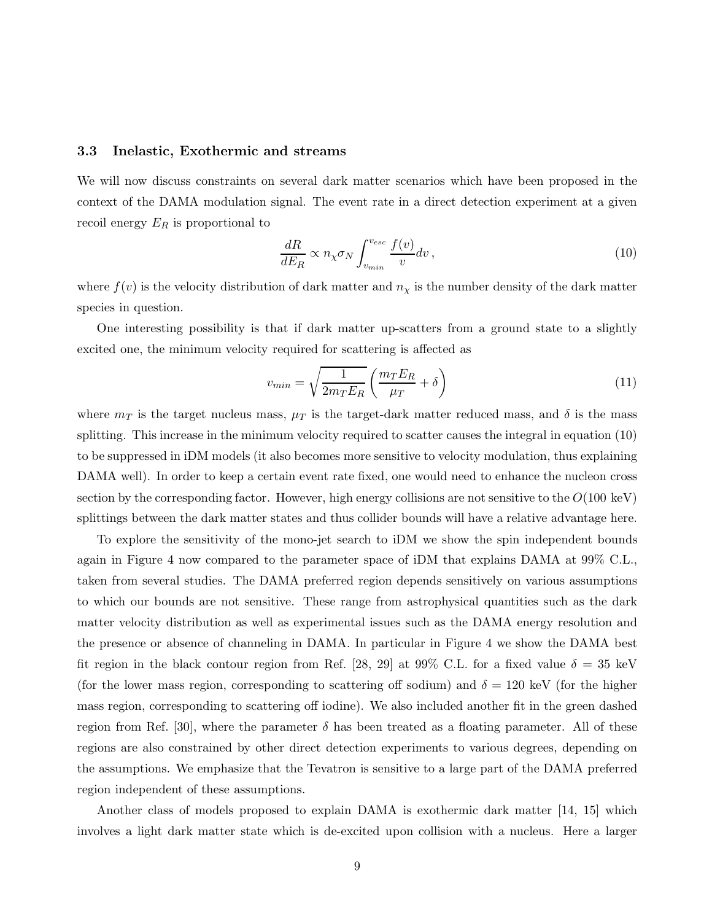#### 3.3 Inelastic, Exothermic and streams

We will now discuss constraints on several dark matter scenarios which have been proposed in the context of the DAMA modulation signal. The event rate in a direct detection experiment at a given recoil energy  $E_R$  is proportional to

$$
\frac{dR}{dE_R} \propto n_\chi \sigma_N \int_{v_{min}}^{v_{esc}} \frac{f(v)}{v} dv , \qquad (10)
$$

where  $f(v)$  is the velocity distribution of dark matter and  $n<sub>\chi</sub>$  is the number density of the dark matter species in question.

One interesting possibility is that if dark matter up-scatters from a ground state to a slightly excited one, the minimum velocity required for scattering is affected as

$$
v_{min} = \sqrt{\frac{1}{2m_T E_R}} \left(\frac{m_T E_R}{\mu_T} + \delta\right)
$$
\n(11)

where  $m_T$  is the target nucleus mass,  $\mu_T$  is the target-dark matter reduced mass, and  $\delta$  is the mass splitting. This increase in the minimum velocity required to scatter causes the integral in equation (10) to be suppressed in iDM models (it also becomes more sensitive to velocity modulation, thus explaining DAMA well). In order to keep a certain event rate fixed, one would need to enhance the nucleon cross section by the corresponding factor. However, high energy collisions are not sensitive to the  $O(100 \text{ keV})$ splittings between the dark matter states and thus collider bounds will have a relative advantage here.

To explore the sensitivity of the mono-jet search to iDM we show the spin independent bounds again in Figure 4 now compared to the parameter space of iDM that explains DAMA at 99% C.L., taken from several studies. The DAMA preferred region depends sensitively on various assumptions to which our bounds are not sensitive. These range from astrophysical quantities such as the dark matter velocity distribution as well as experimental issues such as the DAMA energy resolution and the presence or absence of channeling in DAMA. In particular in Figure 4 we show the DAMA best fit region in the black contour region from Ref. [28, 29] at 99% C.L. for a fixed value  $\delta = 35$  keV (for the lower mass region, corresponding to scattering off sodium) and  $\delta = 120$  keV (for the higher mass region, corresponding to scattering off iodine). We also included another fit in the green dashed region from Ref. [30], where the parameter  $\delta$  has been treated as a floating parameter. All of these regions are also constrained by other direct detection experiments to various degrees, depending on the assumptions. We emphasize that the Tevatron is sensitive to a large part of the DAMA preferred region independent of these assumptions.

Another class of models proposed to explain DAMA is exothermic dark matter [14, 15] which involves a light dark matter state which is de-excited upon collision with a nucleus. Here a larger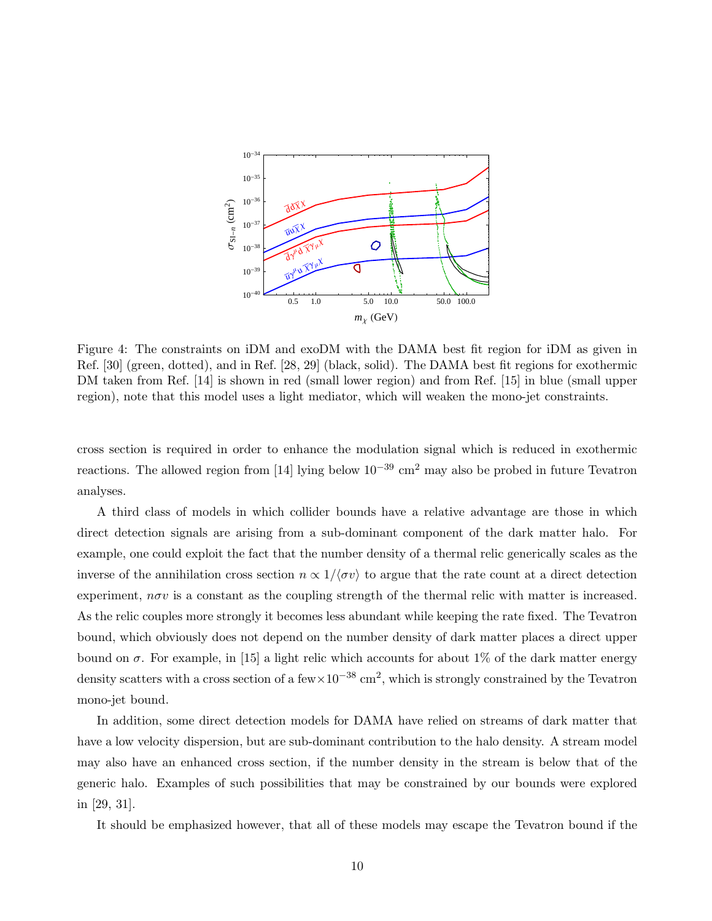

Figure 4: The constraints on iDM and exoDM with the DAMA best fit region for iDM as given in Ref. [30] (green, dotted), and in Ref. [28, 29] (black, solid). The DAMA best fit regions for exothermic DM taken from Ref. [14] is shown in red (small lower region) and from Ref. [15] in blue (small upper region), note that this model uses a light mediator, which will weaken the mono-jet constraints.

cross section is required in order to enhance the modulation signal which is reduced in exothermic reactions. The allowed region from [14] lying below  $10^{-39}$  cm<sup>2</sup> may also be probed in future Tevatron analyses.

A third class of models in which collider bounds have a relative advantage are those in which direct detection signals are arising from a sub-dominant component of the dark matter halo. For example, one could exploit the fact that the number density of a thermal relic generically scales as the inverse of the annihilation cross section  $n \propto 1/\langle \sigma v \rangle$  to argue that the rate count at a direct detection experiment,  $n\sigma v$  is a constant as the coupling strength of the thermal relic with matter is increased. As the relic couples more strongly it becomes less abundant while keeping the rate fixed. The Tevatron bound, which obviously does not depend on the number density of dark matter places a direct upper bound on  $\sigma$ . For example, in [15] a light relic which accounts for about 1% of the dark matter energy density scatters with a cross section of a few $\times 10^{-38}$  cm<sup>2</sup>, which is strongly constrained by the Tevatron mono-jet bound.

In addition, some direct detection models for DAMA have relied on streams of dark matter that have a low velocity dispersion, but are sub-dominant contribution to the halo density. A stream model may also have an enhanced cross section, if the number density in the stream is below that of the generic halo. Examples of such possibilities that may be constrained by our bounds were explored in [29, 31].

It should be emphasized however, that all of these models may escape the Tevatron bound if the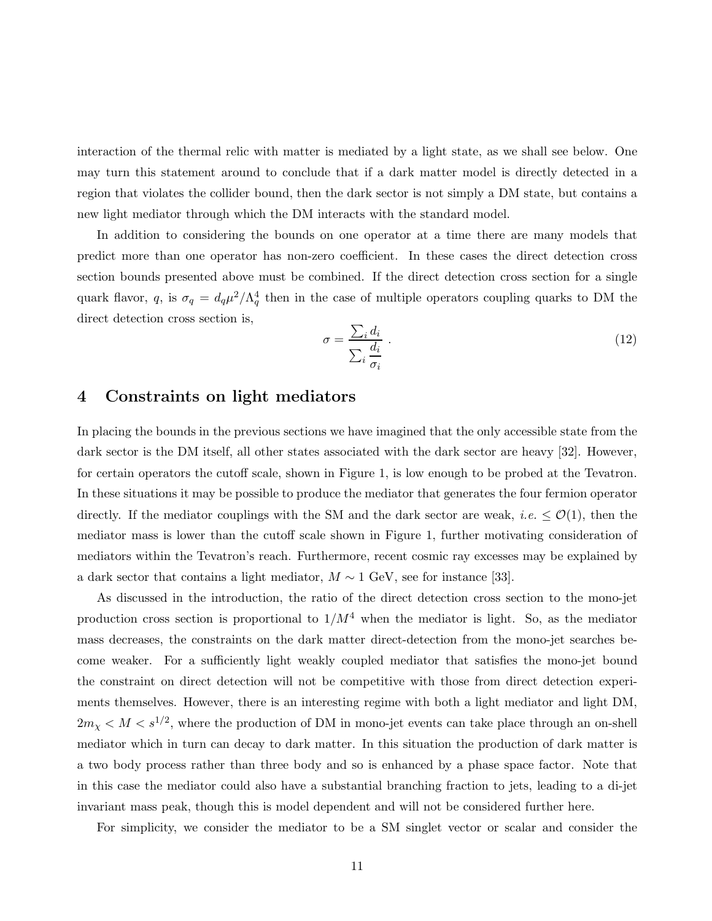interaction of the thermal relic with matter is mediated by a light state, as we shall see below. One may turn this statement around to conclude that if a dark matter model is directly detected in a region that violates the collider bound, then the dark sector is not simply a DM state, but contains a new light mediator through which the DM interacts with the standard model.

In addition to considering the bounds on one operator at a time there are many models that predict more than one operator has non-zero coefficient. In these cases the direct detection cross section bounds presented above must be combined. If the direct detection cross section for a single quark flavor, q, is  $\sigma_q = d_q \mu^2 / \Lambda_q^4$  then in the case of multiple operators coupling quarks to DM the direct detection cross section is,

$$
\sigma = \frac{\sum_{i} d_i}{\sum_{i} \frac{d_i}{\sigma_i}} \tag{12}
$$

## 4 Constraints on light mediators

In placing the bounds in the previous sections we have imagined that the only accessible state from the dark sector is the DM itself, all other states associated with the dark sector are heavy [32]. However, for certain operators the cutoff scale, shown in Figure 1, is low enough to be probed at the Tevatron. In these situations it may be possible to produce the mediator that generates the four fermion operator directly. If the mediator couplings with the SM and the dark sector are weak, *i.e.*  $\leq \mathcal{O}(1)$ , then the mediator mass is lower than the cutoff scale shown in Figure 1, further motivating consideration of mediators within the Tevatron's reach. Furthermore, recent cosmic ray excesses may be explained by a dark sector that contains a light mediator,  $M \sim 1$  GeV, see for instance [33].

As discussed in the introduction, the ratio of the direct detection cross section to the mono-jet production cross section is proportional to  $1/M^4$  when the mediator is light. So, as the mediator mass decreases, the constraints on the dark matter direct-detection from the mono-jet searches become weaker. For a sufficiently light weakly coupled mediator that satisfies the mono-jet bound the constraint on direct detection will not be competitive with those from direct detection experiments themselves. However, there is an interesting regime with both a light mediator and light DM,  $2m_{\chi} < M < s^{1/2}$ , where the production of DM in mono-jet events can take place through an on-shell mediator which in turn can decay to dark matter. In this situation the production of dark matter is a two body process rather than three body and so is enhanced by a phase space factor. Note that in this case the mediator could also have a substantial branching fraction to jets, leading to a di-jet invariant mass peak, though this is model dependent and will not be considered further here.

For simplicity, we consider the mediator to be a SM singlet vector or scalar and consider the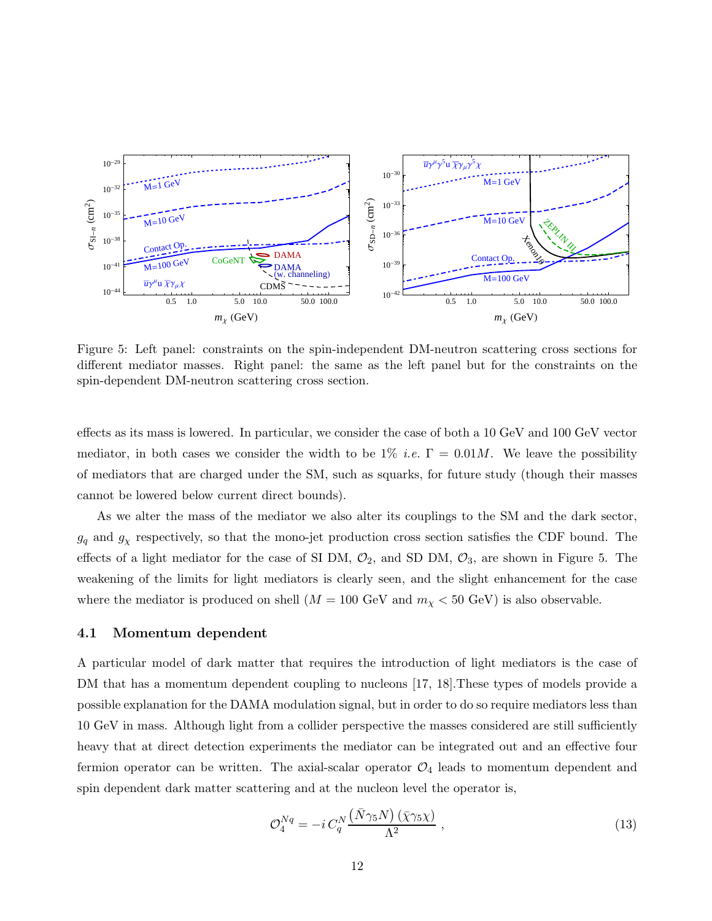

Figure 5: Left panel: constraints on the spin-independent DM-neutron scattering cross sections for different mediator masses. Right panel: the same as the left panel but for the constraints on the spin-dependent DM-neutron scattering cross section.

effects as its mass is lowered. In particular, we consider the case of both a 10 GeV and 100 GeV vector mediator, in both cases we consider the width to be  $1\%$  *i.e.*  $\Gamma = 0.01M$ . We leave the possibility of mediators that are charged under the SM, such as squarks, for future study (though their masses cannot be lowered below current direct bounds).

As we alter the mass of the mediator we also alter its couplings to the SM and the dark sector,  $g_q$  and  $g_\chi$  respectively, so that the mono-jet production cross section satisfies the CDF bound. The effects of a light mediator for the case of SI DM,  $\mathcal{O}_2$ , and SD DM,  $\mathcal{O}_3$ , are shown in Figure 5. The weakening of the limits for light mediators is clearly seen, and the slight enhancement for the case where the mediator is produced on shell  $(M = 100 \text{ GeV}$  and  $m<sub>\chi</sub> < 50 \text{ GeV}$  is also observable.

#### 4.1 Momentum dependent

A particular model of dark matter that requires the introduction of light mediators is the case of DM that has a momentum dependent coupling to nucleons [17, 18]. These types of models provide a possible explanation for the DAMA modulation signal, but in order to do so require mediators less than 10 GeV in mass. Although light from a collider perspective the masses considered are still sufficiently heavy that at direct detection experiments the mediator can be integrated out and an effective four fermion operator can be written. The axial-scalar operator  $\mathcal{O}_4$  leads to momentum dependent and spin dependent dark matter scattering and at the nucleon level the operator is,

$$
\mathcal{O}_4^{Nq} = -i \, C_q^N \frac{\left(\bar{N}\gamma_5 N\right) \left(\bar{\chi}\gamma_5 \chi\right)}{\Lambda^2} \,,\tag{13}
$$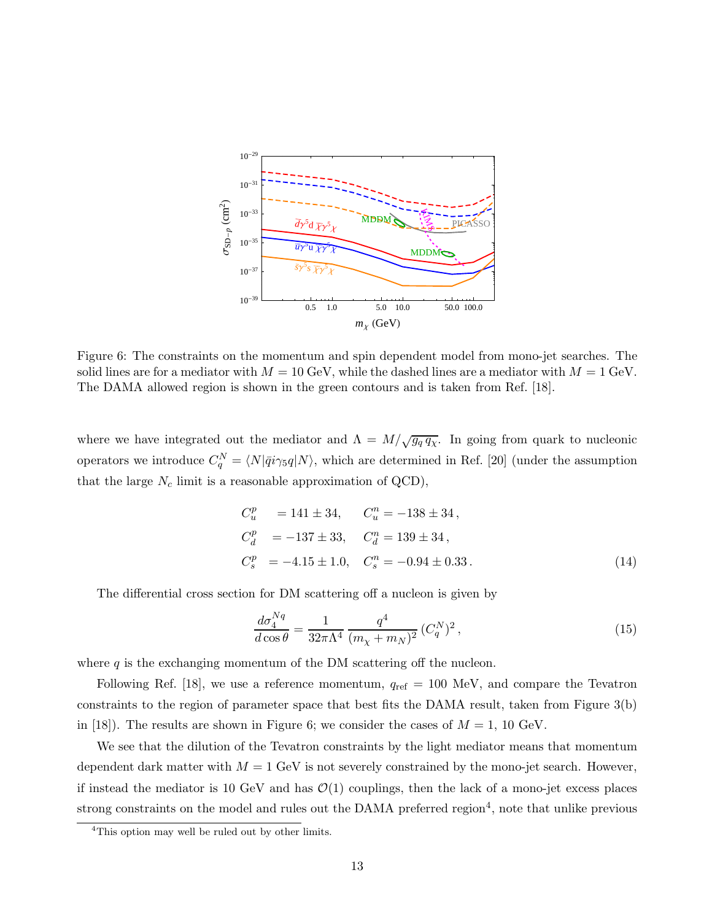

Figure 6: The constraints on the momentum and spin dependent model from mono-jet searches. The solid lines are for a mediator with  $M = 10$  GeV, while the dashed lines are a mediator with  $M = 1$  GeV. The DAMA allowed region is shown in the green contours and is taken from Ref. [18].

where we have integrated out the mediator and  $\Lambda = M/\sqrt{g_q q_\chi}$ . In going from quark to nucleonic operators we introduce  $C_q^N = \langle N|\bar{q}i\gamma_5 q|N\rangle$ , which are determined in Ref. [20] (under the assumption that the large  $N_c$  limit is a reasonable approximation of QCD),

$$
C_u^p = 141 \pm 34, \t C_u^n = -138 \pm 34,
$$
  
\n
$$
C_d^p = -137 \pm 33, \t C_d^n = 139 \pm 34,
$$
  
\n
$$
C_s^p = -4.15 \pm 1.0, \t C_s^n = -0.94 \pm 0.33.
$$
\n(14)

The differential cross section for DM scattering off a nucleon is given by

$$
\frac{d\sigma_4^{Nq}}{d\cos\theta} = \frac{1}{32\pi\Lambda^4} \frac{q^4}{(m_\chi + m_N)^2} (C_q^N)^2, \tag{15}
$$

where  $q$  is the exchanging momentum of the DM scattering off the nucleon.

Following Ref. [18], we use a reference momentum,  $q_{ref} = 100 \text{ MeV}$ , and compare the Tevatron constraints to the region of parameter space that best fits the DAMA result, taken from Figure 3(b) in [18]). The results are shown in Figure 6; we consider the cases of  $M = 1$ , 10 GeV.

We see that the dilution of the Tevatron constraints by the light mediator means that momentum dependent dark matter with  $M = 1$  GeV is not severely constrained by the mono-jet search. However, if instead the mediator is 10 GeV and has  $\mathcal{O}(1)$  couplings, then the lack of a mono-jet excess places strong constraints on the model and rules out the DAMA preferred region<sup>4</sup>, note that unlike previous

<sup>&</sup>lt;sup>4</sup>This option may well be ruled out by other limits.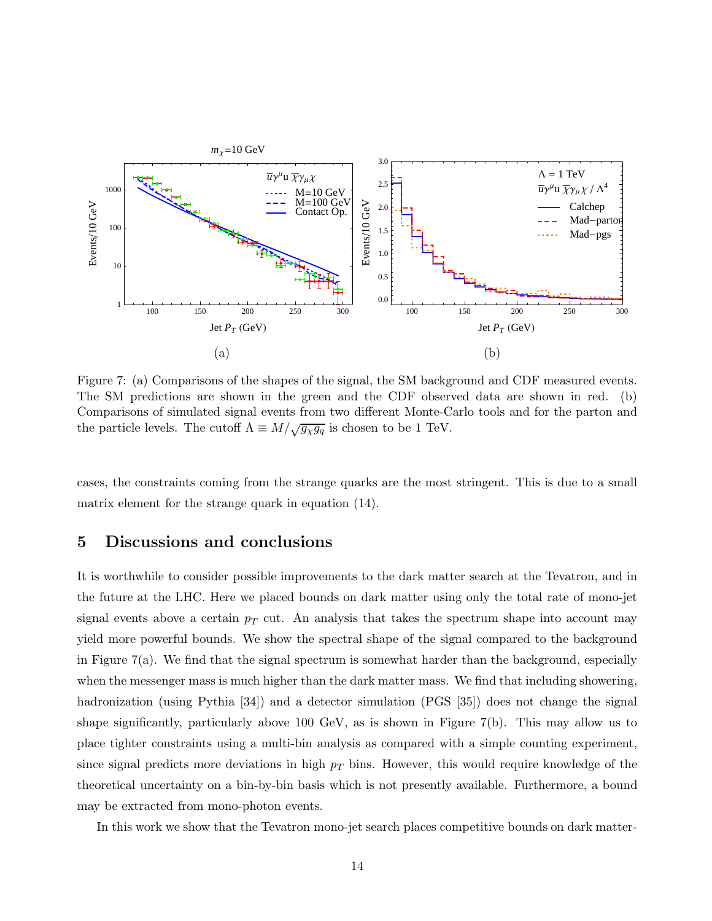

Figure 7: (a) Comparisons of the shapes of the signal, the SM background and CDF measured events. The SM predictions are shown in the green and the CDF observed data are shown in red. (b) Comparisons of simulated signal events from two different Monte-Carlo tools and for the parton and the particle levels. The cutoff  $\Lambda \equiv M/\sqrt{g_{\chi}g_{q}}$  is chosen to be 1 TeV.

cases, the constraints coming from the strange quarks are the most stringent. This is due to a small matrix element for the strange quark in equation (14).

# 5 Discussions and conclusions

It is worthwhile to consider possible improvements to the dark matter search at the Tevatron, and in the future at the LHC. Here we placed bounds on dark matter using only the total rate of mono-jet signal events above a certain  $p<sub>T</sub>$  cut. An analysis that takes the spectrum shape into account may yield more powerful bounds. We show the spectral shape of the signal compared to the background in Figure  $7(a)$ . We find that the signal spectrum is somewhat harder than the background, especially when the messenger mass is much higher than the dark matter mass. We find that including showering, hadronization (using Pythia [34]) and a detector simulation (PGS [35]) does not change the signal shape significantly, particularly above 100 GeV, as is shown in Figure 7(b). This may allow us to place tighter constraints using a multi-bin analysis as compared with a simple counting experiment, since signal predicts more deviations in high  $p<sub>T</sub>$  bins. However, this would require knowledge of the theoretical uncertainty on a bin-by-bin basis which is not presently available. Furthermore, a bound may be extracted from mono-photon events.

In this work we show that the Tevatron mono-jet search places competitive bounds on dark matter-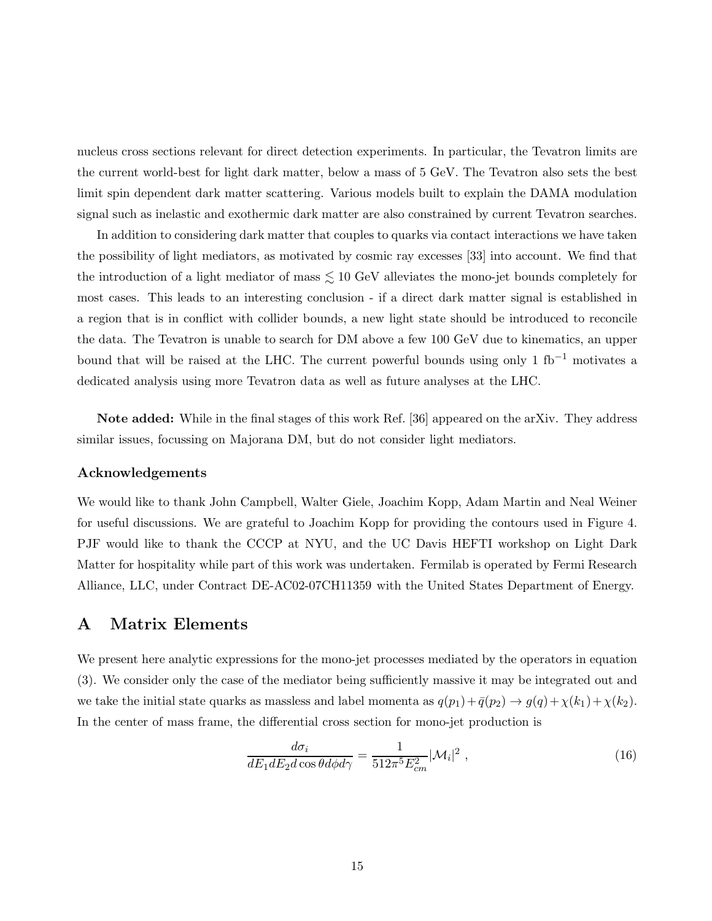nucleus cross sections relevant for direct detection experiments. In particular, the Tevatron limits are the current world-best for light dark matter, below a mass of 5 GeV. The Tevatron also sets the best limit spin dependent dark matter scattering. Various models built to explain the DAMA modulation signal such as inelastic and exothermic dark matter are also constrained by current Tevatron searches.

In addition to considering dark matter that couples to quarks via contact interactions we have taken the possibility of light mediators, as motivated by cosmic ray excesses [33] into account. We find that the introduction of a light mediator of mass  $\lesssim 10$  GeV alleviates the mono-jet bounds completely for most cases. This leads to an interesting conclusion - if a direct dark matter signal is established in a region that is in conflict with collider bounds, a new light state should be introduced to reconcile the data. The Tevatron is unable to search for DM above a few 100 GeV due to kinematics, an upper bound that will be raised at the LHC. The current powerful bounds using only 1 fb<sup>-1</sup> motivates a dedicated analysis using more Tevatron data as well as future analyses at the LHC.

Note added: While in the final stages of this work Ref. [36] appeared on the arXiv. They address similar issues, focussing on Majorana DM, but do not consider light mediators.

#### Acknowledgements

We would like to thank John Campbell, Walter Giele, Joachim Kopp, Adam Martin and Neal Weiner for useful discussions. We are grateful to Joachim Kopp for providing the contours used in Figure 4. PJF would like to thank the CCCP at NYU, and the UC Davis HEFTI workshop on Light Dark Matter for hospitality while part of this work was undertaken. Fermilab is operated by Fermi Research Alliance, LLC, under Contract DE-AC02-07CH11359 with the United States Department of Energy.

### A Matrix Elements

We present here analytic expressions for the mono-jet processes mediated by the operators in equation (3). We consider only the case of the mediator being sufficiently massive it may be integrated out and we take the initial state quarks as massless and label momenta as  $q(p_1)+\bar{q}(p_2) \to g(q)+\chi(k_1)+\chi(k_2)$ . In the center of mass frame, the differential cross section for mono-jet production is

$$
\frac{d\sigma_i}{dE_1 dE_2 d\cos\theta d\phi d\gamma} = \frac{1}{512\pi^5 E_{cm}^2} |\mathcal{M}_i|^2 ,\qquad (16)
$$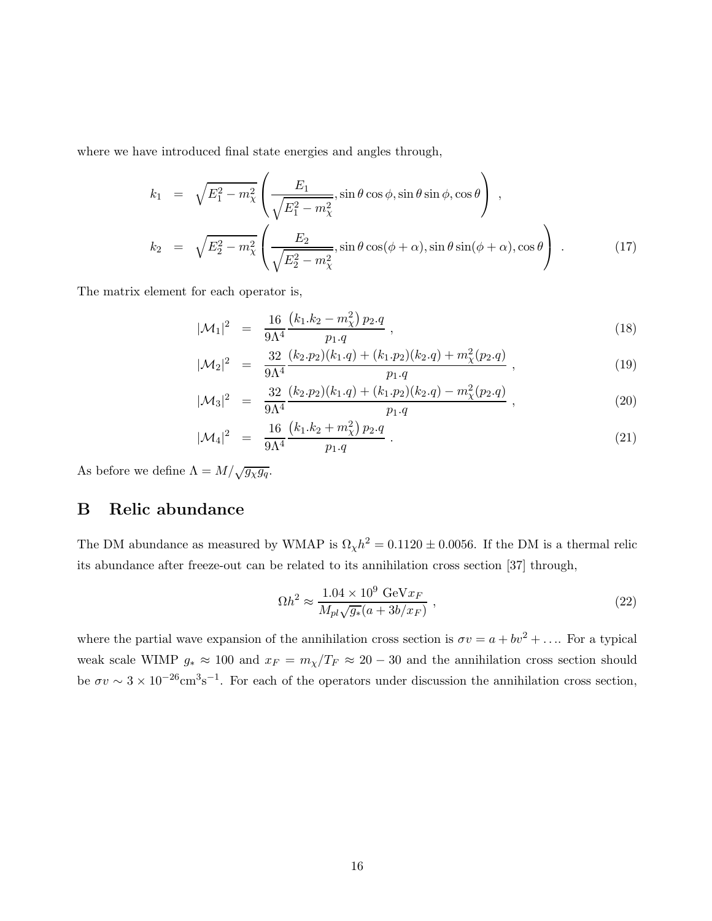where we have introduced final state energies and angles through,

$$
k_1 = \sqrt{E_1^2 - m_\chi^2} \left( \frac{E_1}{\sqrt{E_1^2 - m_\chi^2}}, \sin \theta \cos \phi, \sin \theta \sin \phi, \cos \theta \right),
$$
  
\n
$$
k_2 = \sqrt{E_2^2 - m_\chi^2} \left( \frac{E_2}{\sqrt{E_2^2 - m_\chi^2}}, \sin \theta \cos(\phi + \alpha), \sin \theta \sin(\phi + \alpha), \cos \theta \right).
$$
 (17)

The matrix element for each operator is,

$$
|\mathcal{M}_1|^2 = \frac{16}{9\Lambda^4} \frac{(k_1.k_2 - m_\chi^2) p_2.q}{p_1.q}, \qquad (18)
$$

$$
|\mathcal{M}_2|^2 = \frac{32}{9\Lambda^4} \frac{(k_2 \cdot p_2)(k_1 \cdot q) + (k_1 \cdot p_2)(k_2 \cdot q) + m_\chi^2(p_2 \cdot q)}{p_1 \cdot q}, \qquad (19)
$$

$$
|\mathcal{M}_3|^2 = \frac{32}{9\Lambda^4} \frac{(k_2.p_2)(k_1.q) + (k_1.p_2)(k_2.q) - m_\chi^2(p_2.q)}{p_1.q}, \qquad (20)
$$

$$
|\mathcal{M}_4|^2 = \frac{16}{9\Lambda^4} \frac{(k_1.k_2 + m_\chi^2) p_2.q}{p_1.q} \,. \tag{21}
$$

As before we define  $\Lambda = M/\sqrt{g_{\chi}g_q}$ .

# B Relic abundance

The DM abundance as measured by WMAP is  $\Omega_{\chi}h^2 = 0.1120 \pm 0.0056$ . If the DM is a thermal relic its abundance after freeze-out can be related to its annihilation cross section [37] through,

$$
\Omega h^2 \approx \frac{1.04 \times 10^9 \text{ GeV} x_F}{M_{pl} \sqrt{g_*}(a + 3b/x_F)} , \qquad (22)
$$

where the partial wave expansion of the annihilation cross section is  $\sigma v = a + b v^2 + \dots$  For a typical weak scale WIMP  $g_* \approx 100$  and  $x_F = m_\chi/T_F \approx 20 - 30$  and the annihilation cross section should be  $\sigma v \sim 3 \times 10^{-26} \text{cm}^3 \text{s}^{-1}$ . For each of the operators under discussion the annihilation cross section,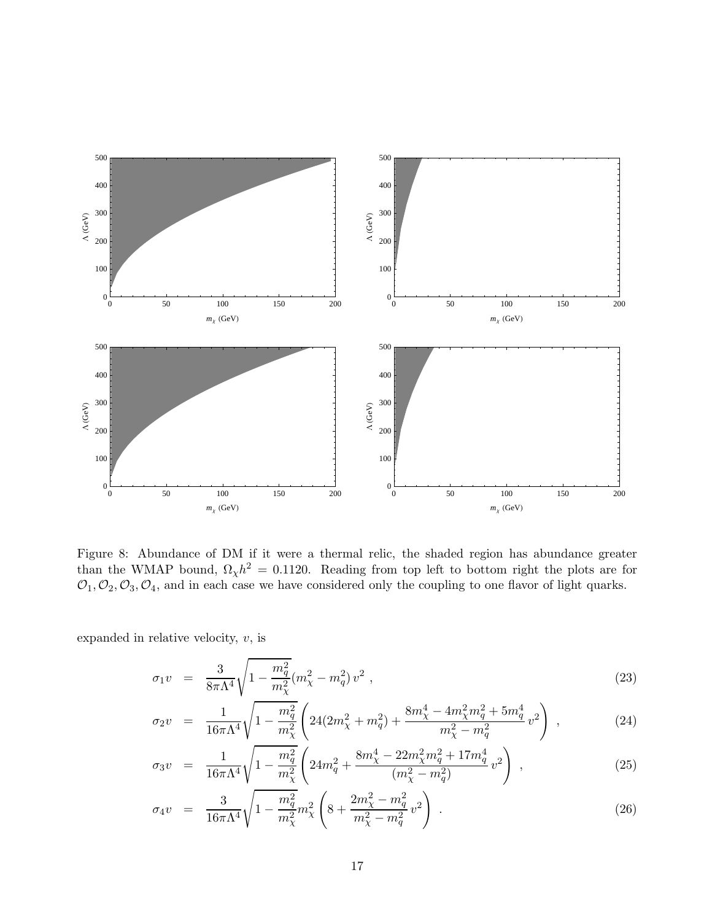

Figure 8: Abundance of DM if it were a thermal relic, the shaded region has abundance greater than the WMAP bound,  $\Omega_{\chi} h^2 = 0.1120$ . Reading from top left to bottom right the plots are for  $\mathcal{O}_1, \mathcal{O}_2, \mathcal{O}_3, \mathcal{O}_4$ , and in each case we have considered only the coupling to one flavor of light quarks.

expanded in relative velocity,  $v$ , is

$$
\sigma_1 v = \frac{3}{8\pi\Lambda^4} \sqrt{1 - \frac{m_q^2}{m_\chi^2}} (m_\chi^2 - m_q^2) v^2 , \qquad (23)
$$

$$
\sigma_2 v = \frac{1}{16\pi\Lambda^4} \sqrt{1 - \frac{m_q^2}{m_\chi^2}} \left( 24(2m_\chi^2 + m_q^2) + \frac{8m_\chi^4 - 4m_\chi^2 m_q^2 + 5m_q^4}{m_\chi^2 - m_q^2} v^2 \right) , \qquad (24)
$$

$$
\sigma_3 v = \frac{1}{16\pi\Lambda^4} \sqrt{1 - \frac{m_q^2}{m_\chi^2}} \left( 24m_q^2 + \frac{8m_\chi^4 - 22m_\chi^2 m_q^2 + 17m_q^4}{(m_\chi^2 - m_q^2)} v^2 \right) , \qquad (25)
$$

$$
\sigma_4 v = \frac{3}{16\pi\Lambda^4} \sqrt{1 - \frac{m_q^2}{m_\chi^2} m_\chi^2} \left( 8 + \frac{2m_\chi^2 - m_q^2}{m_\chi^2 - m_q^2} v^2 \right) . \tag{26}
$$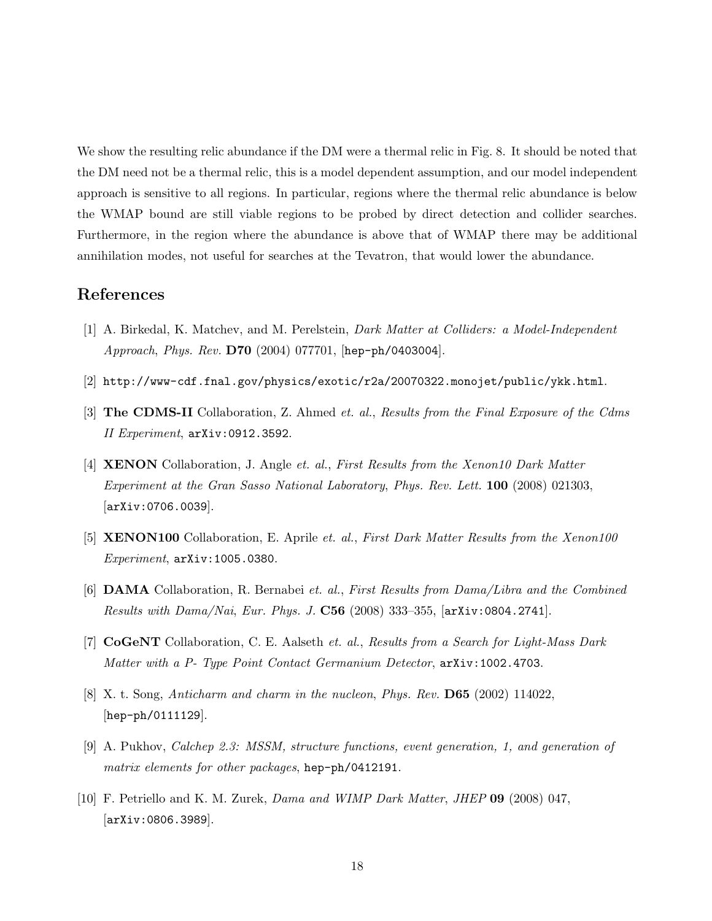We show the resulting relic abundance if the DM were a thermal relic in Fig. 8. It should be noted that the DM need not be a thermal relic, this is a model dependent assumption, and our model independent approach is sensitive to all regions. In particular, regions where the thermal relic abundance is below the WMAP bound are still viable regions to be probed by direct detection and collider searches. Furthermore, in the region where the abundance is above that of WMAP there may be additional annihilation modes, not useful for searches at the Tevatron, that would lower the abundance.

# References

- [1] A. Birkedal, K. Matchev, and M. Perelstein, *Dark Matter at Colliders: a Model-Independent Approach*, *Phys. Rev.* D70 (2004) 077701, [hep-ph/0403004].
- [2] http://www-cdf.fnal.gov/physics/exotic/r2a/20070322.monojet/public/ykk.html.
- [3] The CDMS-II Collaboration, Z. Ahmed *et. al.*, *Results from the Final Exposure of the Cdms II Experiment*, arXiv:0912.3592.
- [4] XENON Collaboration, J. Angle *et. al.*, *First Results from the Xenon10 Dark Matter Experiment at the Gran Sasso National Laboratory*, *Phys. Rev. Lett.* 100 (2008) 021303, [arXiv:0706.0039].
- [5] XENON100 Collaboration, E. Aprile *et. al.*, *First Dark Matter Results from the Xenon100 Experiment*, arXiv:1005.0380.
- [6] DAMA Collaboration, R. Bernabei *et. al.*, *First Results from Dama/Libra and the Combined Results with Dama/Nai*, *Eur. Phys. J.* C56 (2008) 333–355, [arXiv:0804.2741].
- [7] CoGeNT Collaboration, C. E. Aalseth *et. al.*, *Results from a Search for Light-Mass Dark Matter with a P- Type Point Contact Germanium Detector*, arXiv:1002.4703.
- [8] X. t. Song, *Anticharm and charm in the nucleon*, *Phys. Rev.* D65 (2002) 114022, [hep-ph/0111129].
- [9] A. Pukhov, *Calchep 2.3: MSSM, structure functions, event generation, 1, and generation of matrix elements for other packages*, hep-ph/0412191.
- [10] F. Petriello and K. M. Zurek, *Dama and WIMP Dark Matter*, *JHEP* 09 (2008) 047, [arXiv:0806.3989].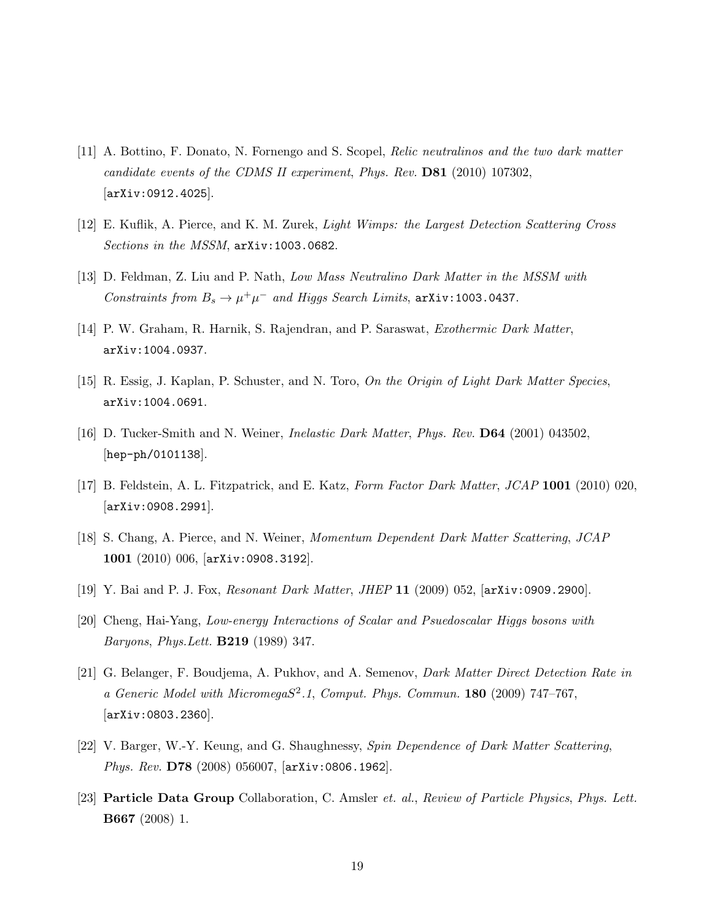- [11] A. Bottino, F. Donato, N. Fornengo and S. Scopel, *Relic neutralinos and the two dark matter candidate events of the CDMS II experiment*, *Phys. Rev.* D81 (2010) 107302, [arXiv:0912.4025].
- [12] E. Kuflik, A. Pierce, and K. M. Zurek, *Light Wimps: the Largest Detection Scattering Cross Sections in the MSSM*, arXiv:1003.0682.
- [13] D. Feldman, Z. Liu and P. Nath, *Low Mass Neutralino Dark Matter in the MSSM with Constraints from*  $B_s \to \mu^+ \mu^-$  *and Higgs Search Limits*,  $\arXiv:1003.0437$ .
- [14] P. W. Graham, R. Harnik, S. Rajendran, and P. Saraswat, *Exothermic Dark Matter*, arXiv:1004.0937.
- [15] R. Essig, J. Kaplan, P. Schuster, and N. Toro, *On the Origin of Light Dark Matter Species*, arXiv:1004.0691.
- [16] D. Tucker-Smith and N. Weiner, *Inelastic Dark Matter*, *Phys. Rev.* D64 (2001) 043502, [hep-ph/0101138].
- [17] B. Feldstein, A. L. Fitzpatrick, and E. Katz, *Form Factor Dark Matter*, *JCAP* 1001 (2010) 020, [arXiv:0908.2991].
- [18] S. Chang, A. Pierce, and N. Weiner, *Momentum Dependent Dark Matter Scattering*, *JCAP* 1001 (2010) 006, [arXiv:0908.3192].
- [19] Y. Bai and P. J. Fox, *Resonant Dark Matter*, *JHEP* 11 (2009) 052, [arXiv:0909.2900].
- [20] Cheng, Hai-Yang, *Low-energy Interactions of Scalar and Psuedoscalar Higgs bosons with Baryons*, *Phys.Lett.* B219 (1989) 347.
- [21] G. Belanger, F. Boudjema, A. Pukhov, and A. Semenov, *Dark Matter Direct Detection Rate in a Generic Model with Micromega*S 2 *.1*, *Comput. Phys. Commun.* 180 (2009) 747–767, [arXiv:0803.2360].
- [22] V. Barger, W.-Y. Keung, and G. Shaughnessy, *Spin Dependence of Dark Matter Scattering*, *Phys. Rev.* D78 (2008) 056007, [arXiv:0806.1962].
- [23] Particle Data Group Collaboration, C. Amsler *et. al.*, *Review of Particle Physics*, *Phys. Lett.* B667 (2008) 1.